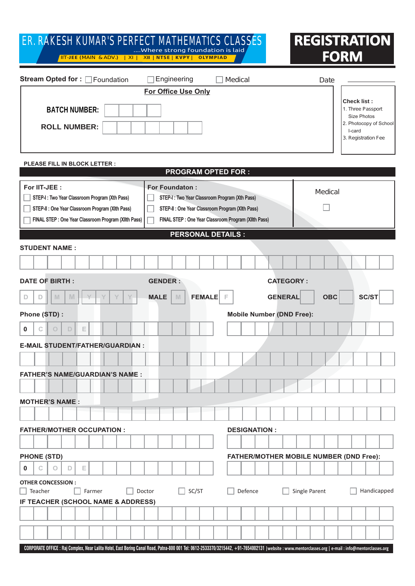| 9F "F 5? 9G< '?   A 5F fG D9F : 97H A 5H < 9A 5H = 7 G 7 @ 5G G 9G<br>Where strong foundation is laid<br><u>00VËJEEÁ(TŒ0ÞÁÁBÁŒÖXË)    Á Ý0Á  ÁÁÁÁÝIIÁ   NTSE   KVPYÁÁ OLYMPIAD</u>                                                                                                                                                                                               | <b>REGISTRATION</b><br><b>FORM</b>                                        |  |  |  |  |  |  |  |  |  |  |  |  |  |
|----------------------------------------------------------------------------------------------------------------------------------------------------------------------------------------------------------------------------------------------------------------------------------------------------------------------------------------------------------------------------------|---------------------------------------------------------------------------|--|--|--|--|--|--|--|--|--|--|--|--|--|
| Stream Opted for : Foundation<br>Engineering<br>T^åi&æ <br><b>For Office Use Only</b>                                                                                                                                                                                                                                                                                            | Öæc^                                                                      |  |  |  |  |  |  |  |  |  |  |  |  |  |
| 65H7 <bia69f.< td=""><td><math>7\</math> YW<sup>1</sup>gh.<br/>1. T@¦^^ÁÚæ••][¦c</td></bia69f.<>                                                                                                                                                                                                                                                                                 | $7\$ YW <sup>1</sup> gh.<br>1. T@¦^^ÁÚæ••][¦c                             |  |  |  |  |  |  |  |  |  |  |  |  |  |
| FC@@BIA69F.                                                                                                                                                                                                                                                                                                                                                                      | Size Photos<br>2. Photocopy of School<br>I-card<br>HEAU^*ă•clæcă [ } AØ^^ |  |  |  |  |  |  |  |  |  |  |  |  |  |
| PLEASE FILL IN BLOCK LETTER :<br><b>PROGRAM OPTED FOR:</b>                                                                                                                                                                                                                                                                                                                       |                                                                           |  |  |  |  |  |  |  |  |  |  |  |  |  |
| For IIT-JEE:<br><b>For Foundaton:</b><br>T^åi&æ <br>) STEP-I: Two Year Classroom Program (Xth Pass)<br>STEP-I: Two Year Classroom Program (Xth Pass)<br>STEP-II : One Year Classroom Program (XIth Pass)<br>) STEP-II : One Year Classroom Program (XIth Pass)<br>FINAL STEP : One Year Classroom Program (XIIth Pass)<br>) FINAL STEP : One Year Classroom Program (XIIth Pass) |                                                                           |  |  |  |  |  |  |  |  |  |  |  |  |  |
| <b>PERSONAL DETAILS:</b>                                                                                                                                                                                                                                                                                                                                                         |                                                                           |  |  |  |  |  |  |  |  |  |  |  |  |  |
| <b>STUDENT NAME:</b>                                                                                                                                                                                                                                                                                                                                                             |                                                                           |  |  |  |  |  |  |  |  |  |  |  |  |  |
| <b>DATE OF BIRTH:</b><br><b>GENDER:</b>                                                                                                                                                                                                                                                                                                                                          | <b>CATEGORY:</b>                                                          |  |  |  |  |  |  |  |  |  |  |  |  |  |
| <b>FEMALE</b><br>M<br>$\mathbb N$<br><b>GENERAL</b><br><b>MALE</b><br>IM.<br>D<br>D                                                                                                                                                                                                                                                                                              | <b>OBC</b><br><b>SC/ST</b>                                                |  |  |  |  |  |  |  |  |  |  |  |  |  |
| Phone (STD) :<br><b>Mobile Number (DND Free):</b>                                                                                                                                                                                                                                                                                                                                |                                                                           |  |  |  |  |  |  |  |  |  |  |  |  |  |
| D<br>Е<br>0<br>С<br>$\circ$                                                                                                                                                                                                                                                                                                                                                      |                                                                           |  |  |  |  |  |  |  |  |  |  |  |  |  |
| <b>E-MAIL STUDENT/FATHER/GUARDIAN:</b>                                                                                                                                                                                                                                                                                                                                           |                                                                           |  |  |  |  |  |  |  |  |  |  |  |  |  |
| <b>FATHER'S NAME/GUARDIAN'S NAME:</b>                                                                                                                                                                                                                                                                                                                                            |                                                                           |  |  |  |  |  |  |  |  |  |  |  |  |  |
|                                                                                                                                                                                                                                                                                                                                                                                  |                                                                           |  |  |  |  |  |  |  |  |  |  |  |  |  |
| <b>MOTHER'S NAME:</b>                                                                                                                                                                                                                                                                                                                                                            |                                                                           |  |  |  |  |  |  |  |  |  |  |  |  |  |
|                                                                                                                                                                                                                                                                                                                                                                                  |                                                                           |  |  |  |  |  |  |  |  |  |  |  |  |  |
| <b>FATHER/MOTHER OCCUPATION:</b><br><b>DESIGNATION:</b>                                                                                                                                                                                                                                                                                                                          |                                                                           |  |  |  |  |  |  |  |  |  |  |  |  |  |
|                                                                                                                                                                                                                                                                                                                                                                                  |                                                                           |  |  |  |  |  |  |  |  |  |  |  |  |  |
| <b>PHONE (STD)</b><br>Е<br>0<br>O<br>D<br>С                                                                                                                                                                                                                                                                                                                                      | FATHER/MOTHER MOBILE NUMBER (DND Free):                                   |  |  |  |  |  |  |  |  |  |  |  |  |  |
| <b>OTHER CONCESSION:</b><br>SC/ST<br>Single Parent<br>Teacher<br>Farmer<br>Doctor<br>Defence<br>Handicapped<br>IF TEACHER (SCHOOL NAME & ADDRESS)                                                                                                                                                                                                                                |                                                                           |  |  |  |  |  |  |  |  |  |  |  |  |  |
|                                                                                                                                                                                                                                                                                                                                                                                  |                                                                           |  |  |  |  |  |  |  |  |  |  |  |  |  |
|                                                                                                                                                                                                                                                                                                                                                                                  |                                                                           |  |  |  |  |  |  |  |  |  |  |  |  |  |
| CORPORATE OFFICE : Raj Complex, Near Lalita Hotel, East Boring Canal Road, Patna-800 001 Tel: 0612-2533370/3215442, +91-7654002131   website : www.mentorclasses.org   e-mail : info@mentorclasses.org                                                                                                                                                                           |                                                                           |  |  |  |  |  |  |  |  |  |  |  |  |  |